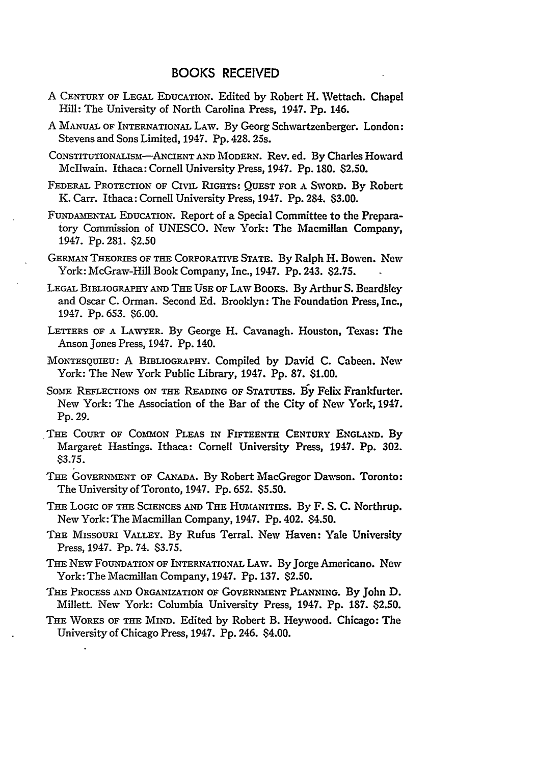## BOOKS RECEIVED

- A CENTURY OF LEGAL EDUCATION. Edited by Robert H. Wettach. Chapel Hill: The University of North Carolina Press, 1947. **Pp.** 146.
- A MANUAL OF INTERNATIONAL LAW. By Georg Schwartzenberger. London: Stevens and Sons Limited, 1947. Pp. 428. 25s.
- CONSTITUTIONALISM-ANCIENT **AND** MODERN. Rev. ed. **By** Charles Howard Mcllwain. Ithaca: Cornell University Press, 1947. Pp. 180. \$2.50.
- FEDERAL PROTECTION OF CIVIL RIGHTS: QUEST FOR A SWORD. By Robert **K.** Carr. Ithaca: Cornell University Press, 1947. **Pp.** 284. **\$3.00.**
- FUNDAmENTAL EDUCATION. Report of a Special Committee to the Preparatory Commission of UNESCO. New York: The Macmillan Company, 1947. Pp. 281. \$2.50
- GER LN THEORIES OF **THE** CORPORATIVE STATE. By Ralph H. Bowen. New York: McGraw-Hill Book Company, Inc., 1947. Pp. 243. \$2.75.
- **LEGAL** BIBLIOGRAPHY AND THE **USE OF** LAW Boors. By Arthur S. Beardbley and Oscar C. Orman. Second Ed. Brooklyn: The Foundation Press, Inc., 1947. Pp. 653. \$6.00.
- LETTERS OF **A** LAWYER. By George H. Cavanagh. Houston, Texas: The Anson Jones Press, 1947. Pp. 140.
- MONTESQUIEU: A BIBLIOGRAPHY. Compiled by David C. Cabeen. New York: The New York Public Library, 1947. **Pp. 87.** \$1.00.
- SOME REFLECTIONS ON THE READING OF STATUTES. By Felix Frankfurter. New York: The Association of the Bar of the City of New York, 1947. Pp. 29.
- THE COURT OF COMMON PLEAS IN FIFTEENTH CENTURY ENGLAND. By Margaret Hastings. Ithaca: Cornell University Press, 1947. Pp. 302. \$3.75.
- THE GOVERNMENT OF CANADA. By Robert MacGregor Dawson. Toronto: The University of Toronto, 1947. Pp. 652. \$5.50.
- **THE** LOGIC OF THE SCIENCES **AND** THE HUMANITIES. By F. S. C. Northrup. New York: The Macmillan Company, 1947. Pp. 402. \$4.50.
- THE MISSOURI VALLEY. By Rufus Terral. New Haven: Yale University Press, 1947. Pp. 74. \$3.75.
- THE NEW FOUNDATION OF INTERNATIONAL LAW. By Jorge Americano. New York: The Macmillan Company, 1947. Pp. 137. \$2.50.
- **THE** PROCESS AND ORGANIZATION OF GOVERNMENT **PLANNING. By** John D. Millett. New York: Columbia University Press, 1947. **Pp. 187.** \$2.50.
- **THE** WORKS OF **THE** MIND. Edited **by** Robert B. Heywood. Chicago: The University of Chicago Press, 1947. Pp. 246. \$4.00.